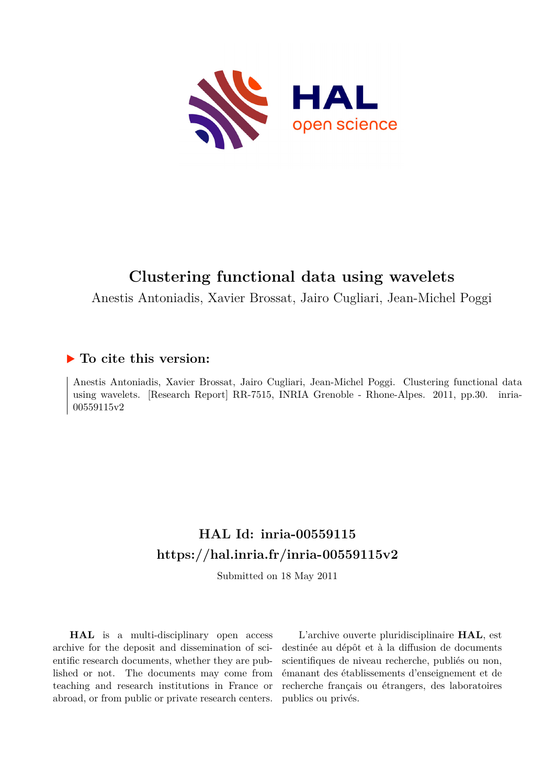

# **Clustering functional data using wavelets**

Anestis Antoniadis, Xavier Brossat, Jairo Cugliari, Jean-Michel Poggi

## **To cite this version:**

Anestis Antoniadis, Xavier Brossat, Jairo Cugliari, Jean-Michel Poggi. Clustering functional data using wavelets. [Research Report] RR-7515, INRIA Grenoble - Rhone-Alpes. 2011, pp.30. inria-00559115v2

# **HAL Id: inria-00559115 <https://hal.inria.fr/inria-00559115v2>**

Submitted on 18 May 2011

**HAL** is a multi-disciplinary open access archive for the deposit and dissemination of scientific research documents, whether they are published or not. The documents may come from teaching and research institutions in France or abroad, or from public or private research centers.

L'archive ouverte pluridisciplinaire **HAL**, est destinée au dépôt et à la diffusion de documents scientifiques de niveau recherche, publiés ou non, émanant des établissements d'enseignement et de recherche français ou étrangers, des laboratoires publics ou privés.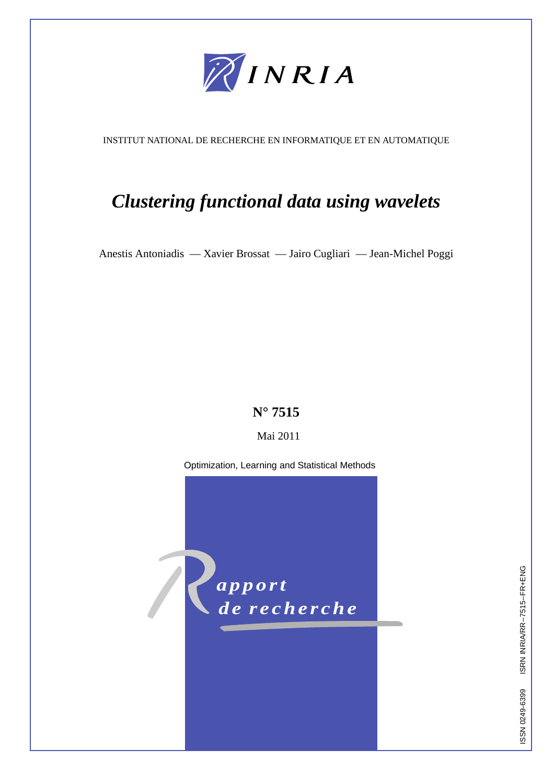

INSTITUT NATIONAL DE RECHERCHE EN INFORMATIQUE ET EN AUTOMATIQUE

# *Clustering functional data using wavelets*

Anestis Antoniadis — Xavier Brossat — Jairo Cugliari — Jean-Michel Poggi

# **N° 7515**

### Mai 2011

Optimization, Learning and Statistical Methods



ISSN 0249-6399 ISRN INRIA/RR--7515--FR+ENG ISSN 0249-6399 ISRN INRIA/RR--7515--FR+ENG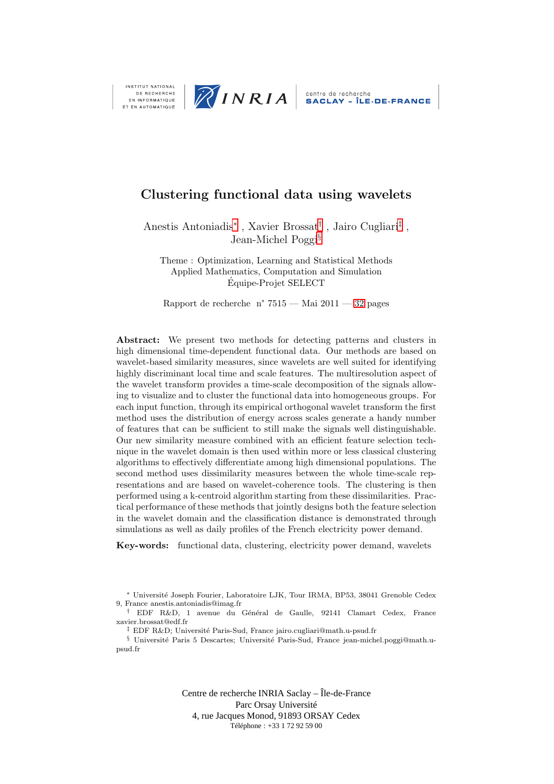

DE RECHERCHE EN INFORMATIQUE ET EN AUTOMATIQUE

## Clustering functional data using wavelets

Anestis Antoniadis<sup>∗</sup> , Xavier Brossat† , Jairo Cugliari‡ , Jean-Michel Poggi§

Theme : Optimization, Learning and Statistical Methods Applied Mathematics, Computation and Simulation Equipe-Projet SELECT ´

Rapport de recherche n° 7515 — Mai 2011 — 32 pages

Abstract: We present two methods for detecting patterns and clusters in high dimensional time-dependent functional data. Our methods are based on wavelet-based similarity measures, since wavelets are well suited for identifying highly discriminant local time and scale features. The multiresolution aspect of the wavelet transform provides a time-scale decomposition of the signals allowing to visualize and to cluster the functional data into homogeneous groups. For each input function, through its empirical orthogonal wavelet transform the first method uses the distribution of energy across scales generate a handy number of features that can be sufficient to still make the signals well distinguishable. Our new similarity measure combined with an efficient feature selection technique in the wavelet domain is then used within more or less classical clustering algorithms to effectively differentiate among high dimensional populations. The second method uses dissimilarity measures between the whole time-scale representations and are based on wavelet-coherence tools. The clustering is then performed using a k-centroid algorithm starting from these dissimilarities. Practical performance of these methods that jointly designs both the feature selection in the wavelet domain and the classification distance is demonstrated through simulations as well as daily profiles of the French electricity power demand.

Key-words: functional data, clustering, electricity power demand, wavelets

<sup>∗</sup> Universit´e Joseph Fourier, Laboratoire LJK, Tour IRMA, BP53, 38041 Grenoble Cedex 9, France anestis.antoniadis@imag.fr

† EDF R&D, 1 avenue du G´en´eral de Gaulle, 92141 Clamart Cedex, France xavier.brossat@edf.fr

<sup>‡</sup> EDF R&D; Université Paris-Sud, France jairo.cugliari@math.u-psud.fr

§ Université Paris 5 Descartes; Université Paris-Sud, France jean-michel.poggi@math.upsud.fr

> Centre de recherche INRIA Saclay – Île-de-France Parc Orsay Université 4, rue Jacques Monod, 91893 ORSAY Cedex Téléphone : +33 1 72 92 59 00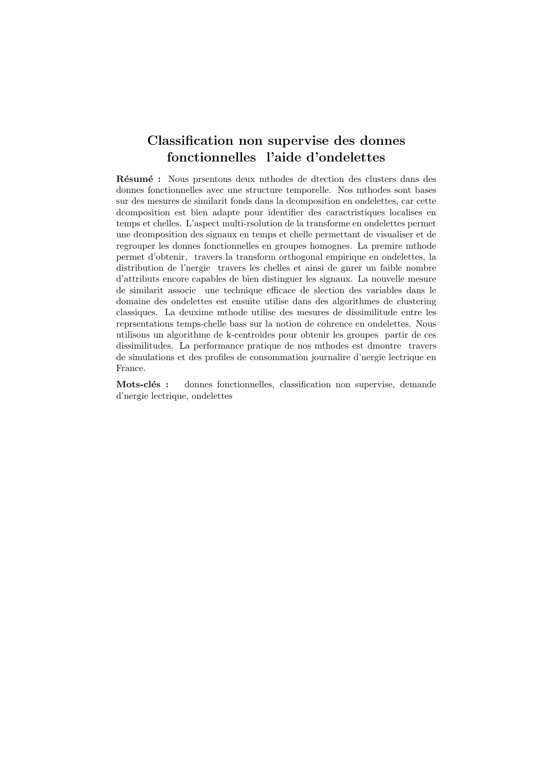# Classification non supervise des donnes fonctionnelles l'aide d'ondelettes

Résumé : Nous prsentons deux mthodes de dtection des clusters dans des donnes fonctionnelles avec une structure temporelle. Nos mthodes sont bases sur des mesures de similarit fonds dans la dcomposition en ondelettes, car cette dcomposition est bien adapte pour identifier des caractristiques localises en temps et chelles. L'aspect multi-rsolution de la transforme en ondelettes permet une dcomposition des signaux en temps et chelle permettant de visualiser et de regrouper les donnes fonctionnelles en groupes homognes. La premire mthode permet d'obtenir, travers la transform orthogonal empirique en ondelettes, la distribution de l'nergie travers les chelles et ainsi de gnrer un faible nombre d'attributs encore capables de bien distinguer les signaux. La nouvelle mesure de similarit associe une technique efficace de slection des variables dans le domaine des ondelettes est ensuite utilise dans des algorithmes de clustering classiques. La deuxime mthode utilise des mesures de dissimilitude entre les reprsentations temps-chelle bass sur la notion de cohrence en ondelettes. Nous utilisons un algorithme de k-centroides pour obtenir les groupes partir de ces dissimilitudes. La performance pratique de nos mthodes est dmontre travers de simulations et des profiles de consommation journalire d'nergie lectrique en France.

Mots-clés : donnes fonctionnelles, classification non supervise, demande d'nergie lectrique, ondelettes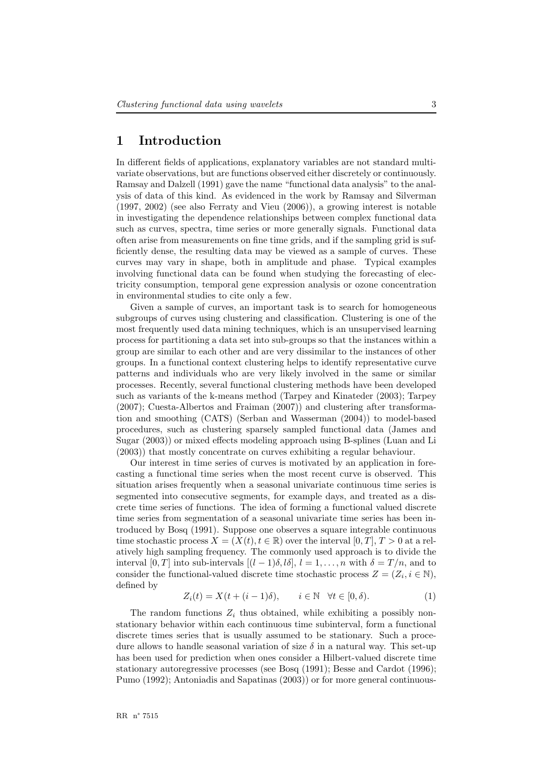#### 1 Introduction

In different fields of applications, explanatory variables are not standard multivariate observations, but are functions observed either discretely or continuously. Ramsay and Dalzell (1991) gave the name "functional data analysis" to the analysis of data of this kind. As evidenced in the work by Ramsay and Silverman (1997, 2002) (see also Ferraty and Vieu (2006)), a growing interest is notable in investigating the dependence relationships between complex functional data such as curves, spectra, time series or more generally signals. Functional data often arise from measurements on fine time grids, and if the sampling grid is sufficiently dense, the resulting data may be viewed as a sample of curves. These curves may vary in shape, both in amplitude and phase. Typical examples involving functional data can be found when studying the forecasting of electricity consumption, temporal gene expression analysis or ozone concentration in environmental studies to cite only a few.

Given a sample of curves, an important task is to search for homogeneous subgroups of curves using clustering and classification. Clustering is one of the most frequently used data mining techniques, which is an unsupervised learning process for partitioning a data set into sub-groups so that the instances within a group are similar to each other and are very dissimilar to the instances of other groups. In a functional context clustering helps to identify representative curve patterns and individuals who are very likely involved in the same or similar processes. Recently, several functional clustering methods have been developed such as variants of the k-means method (Tarpey and Kinateder (2003); Tarpey (2007); Cuesta-Albertos and Fraiman (2007)) and clustering after transformation and smoothing (CATS) (Serban and Wasserman (2004)) to model-based procedures, such as clustering sparsely sampled functional data (James and Sugar (2003)) or mixed effects modeling approach using B-splines (Luan and Li (2003)) that mostly concentrate on curves exhibiting a regular behaviour.

Our interest in time series of curves is motivated by an application in forecasting a functional time series when the most recent curve is observed. This situation arises frequently when a seasonal univariate continuous time series is segmented into consecutive segments, for example days, and treated as a discrete time series of functions. The idea of forming a functional valued discrete time series from segmentation of a seasonal univariate time series has been introduced by Bosq (1991). Suppose one observes a square integrable continuous time stochastic process  $X = (X(t), t \in \mathbb{R})$  over the interval  $[0, T]$ ,  $T > 0$  at a relatively high sampling frequency. The commonly used approach is to divide the interval  $[0, T]$  into sub-intervals  $[(l - 1)\delta, l\delta], l = 1, \ldots, n$  with  $\delta = T/n$ , and to consider the functional-valued discrete time stochastic process  $Z = (Z_i, i \in \mathbb{N}),$ defined by

<span id="page-5-0"></span>
$$
Z_i(t) = X(t + (i - 1)\delta), \qquad i \in \mathbb{N} \quad \forall t \in [0, \delta).
$$
 (1)

The random functions  $Z_i$  thus obtained, while exhibiting a possibly nonstationary behavior within each continuous time subinterval, form a functional discrete times series that is usually assumed to be stationary. Such a procedure allows to handle seasonal variation of size  $\delta$  in a natural way. This set-up has been used for prediction when ones consider a Hilbert-valued discrete time stationary autoregressive processes (see Bosq (1991); Besse and Cardot (1996); Pumo (1992); Antoniadis and Sapatinas (2003)) or for more general continuous-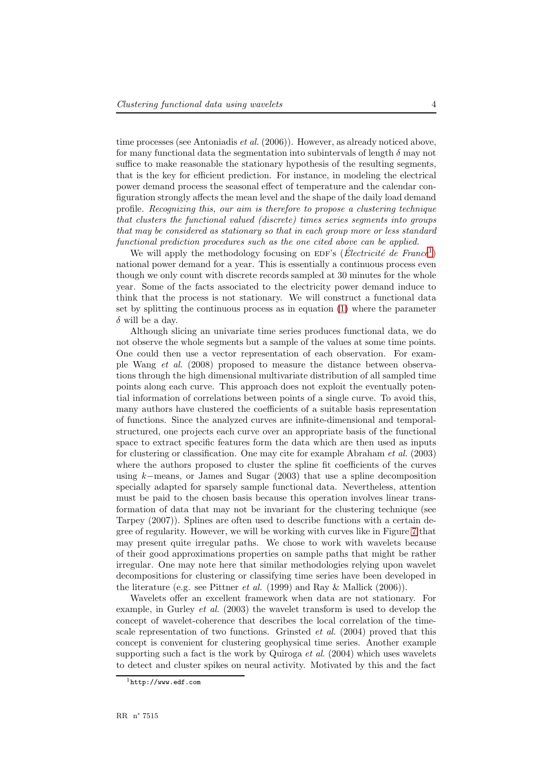time processes (see Antoniadis *et al.*  $(2006)$ ). However, as already noticed above, for many functional data the segmentation into subintervals of length  $\delta$  may not suffice to make reasonable the stationary hypothesis of the resulting segments, that is the key for efficient prediction. For instance, in modeling the electrical power demand process the seasonal effect of temperature and the calendar configuration strongly affects the mean level and the shape of the daily load demand profile. Recognizing this, our aim is therefore to propose a clustering technique that clusters the functional valued (discrete) times series segments into groups that may be considered as stationary so that in each group more or less standard functional prediction procedures such as the one cited above can be applied.

We will apply the methodology focusing on EDF's (Électricité de France<sup>[1](#page-6-0)</sup>) national power demand for a year. This is essentially a continuous process even though we only count with discrete records sampled at 30 minutes for the whole year. Some of the facts associated to the electricity power demand induce to think that the process is not stationary. We will construct a functional data set by splitting the continuous process as in equation [\(1\)](#page-5-0) where the parameter  $\delta$  will be a day.

Although slicing an univariate time series produces functional data, we do not observe the whole segments but a sample of the values at some time points. One could then use a vector representation of each observation. For example Wang et al. (2008) proposed to measure the distance between observations through the high dimensional multivariate distribution of all sampled time points along each curve. This approach does not exploit the eventually potential information of correlations between points of a single curve. To avoid this, many authors have clustered the coefficients of a suitable basis representation of functions. Since the analyzed curves are infinite-dimensional and temporalstructured, one projects each curve over an appropriate basis of the functional space to extract specific features form the data which are then used as inputs for clustering or classification. One may cite for example Abraham et al. (2003) where the authors proposed to cluster the spline fit coefficients of the curves using  $k$ −means, or James and Sugar (2003) that use a spline decomposition specially adapted for sparsely sample functional data. Nevertheless, attention must be paid to the chosen basis because this operation involves linear transformation of data that may not be invariant for the clustering technique (see Tarpey (2007)). Splines are often used to describe functions with a certain degree of regularity. However, we will be working with curves like in Figure 7 that may present quite irregular paths. We chose to work with wavelets because of their good approximations properties on sample paths that might be rather irregular. One may note here that similar methodologies relying upon wavelet decompositions for clustering or classifying time series have been developed in the literature (e.g. see Pittner *et al.* (1999) and Ray & Mallick (2006)).

Wavelets offer an excellent framework when data are not stationary. For example, in Gurley et al. (2003) the wavelet transform is used to develop the concept of wavelet-coherence that describes the local correlation of the timescale representation of two functions. Grinsted *et al.* (2004) proved that this concept is convenient for clustering geophysical time series. Another example supporting such a fact is the work by Quiroga  $et$  al. (2004) which uses wavelets to detect and cluster spikes on neural activity. Motivated by this and the fact

<span id="page-6-0"></span><sup>1</sup>http://www.edf.com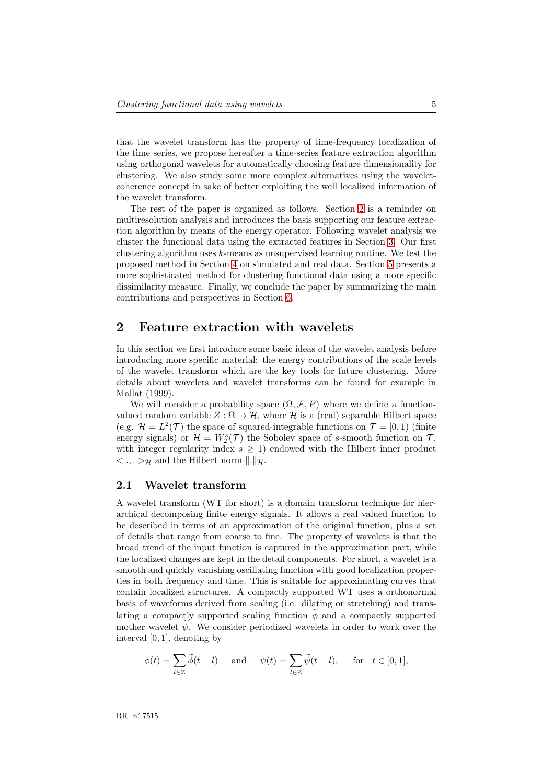that the wavelet transform has the property of time-frequency localization of the time series, we propose hereafter a time-series feature extraction algorithm using orthogonal wavelets for automatically choosing feature dimensionality for clustering. We also study some more complex alternatives using the waveletcoherence concept in sake of better exploiting the well localized information of the wavelet transform.

The rest of the paper is organized as follows. Section [2](#page-7-0) is a reminder on multiresolution analysis and introduces the basis supporting our feature extraction algorithm by means of the energy operator. Following wavelet analysis we cluster the functional data using the extracted features in Section [3.](#page-11-0) Our first clustering algorithm uses  $k$ -means as unsupervised learning routine. We test the proposed method in Section 4 on simulated and real data. Section 5 presents a more sophisticated method for clustering functional data using a more specific dissimilarity measure. Finally, we conclude the paper by summarizing the main contributions and perspectives in Section 6.

#### <span id="page-7-0"></span>2 Feature extraction with wavelets

In this section we first introduce some basic ideas of the wavelet analysis before introducing more specific material: the energy contributions of the scale levels of the wavelet transform which are the key tools for future clustering. More details about wavelets and wavelet transforms can be found for example in Mallat (1999).

We will consider a probability space  $(\Omega, \mathcal{F}, P)$  where we define a functionvalued random variable  $Z : \Omega \to \mathcal{H}$ , where  $\mathcal{H}$  is a (real) separable Hilbert space (e.g.  $\mathcal{H} = L^2(\mathcal{T})$  the space of squared-integrable functions on  $\mathcal{T} = [0, 1)$  (finite energy signals) or  $\mathcal{H} = W_2^s(\mathcal{T})$  the Sobolev space of s-smooth function on  $\mathcal{T}$ , with integer regularity index  $s \geq 1$ ) endowed with the Hilbert inner product  $\langle \cdot, \cdot \rangle_{\mathcal{H}}$  and the Hilbert norm  $\|.\|_{\mathcal{H}}$ .

#### 2.1 Wavelet transform

A wavelet transform (WT for short) is a domain transform technique for hierarchical decomposing finite energy signals. It allows a real valued function to be described in terms of an approximation of the original function, plus a set of details that range from coarse to fine. The property of wavelets is that the broad trend of the input function is captured in the approximation part, while the localized changes are kept in the detail components. For short, a wavelet is a smooth and quickly vanishing oscillating function with good localization properties in both frequency and time. This is suitable for approximating curves that contain localized structures. A compactly supported WT uses a orthonormal basis of waveforms derived from scaling (i.e. dilating or stretching) and translating a compactly supported scaling function  $\phi$  and a compactly supported mother wavelet  $\psi$ . We consider periodized wavelets in order to work over the interval [0, 1], denoting by

$$
\phi(t) = \sum_{l \in \mathbb{Z}} \widetilde{\phi}(t - l) \quad \text{and} \quad \psi(t) = \sum_{l \in \mathbb{Z}} \widetilde{\psi}(t - l), \quad \text{for} \quad t \in [0, 1],
$$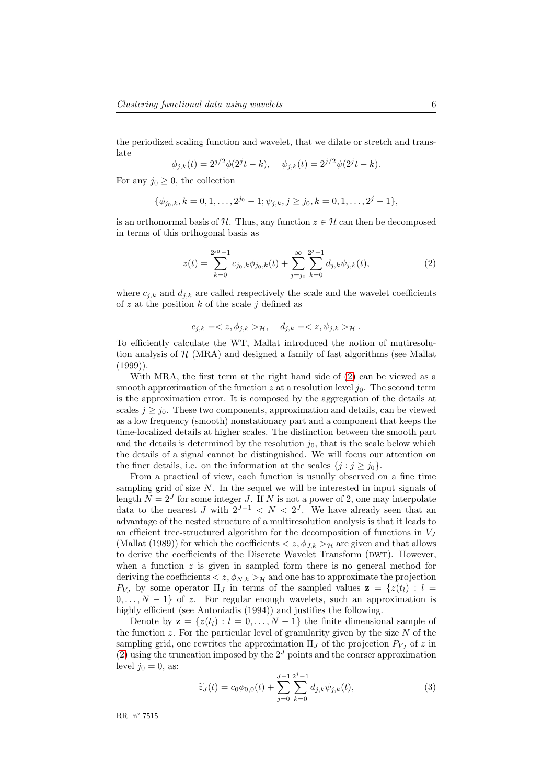the periodized scaling function and wavelet, that we dilate or stretch and translate

$$
\phi_{j,k}(t) = 2^{j/2}\phi(2^{j}t - k), \quad \psi_{j,k}(t) = 2^{j/2}\psi(2^{j}t - k).
$$

For any  $j_0 \geq 0$ , the collection

$$
\{\phi_{j_0,k}, k=0,1,\ldots,2^{j_0}-1; \psi_{j,k}, j\geq j_0, k=0,1,\ldots,2^j-1\},\
$$

is an orthonormal basis of H. Thus, any function  $z \in H$  can then be decomposed in terms of this orthogonal basis as

<span id="page-8-0"></span>
$$
z(t) = \sum_{k=0}^{2^{j_0}-1} c_{j_0,k} \phi_{j_0,k}(t) + \sum_{j=j_0}^{\infty} \sum_{k=0}^{2^j-1} d_{j,k} \psi_{j,k}(t),
$$
 (2)

where  $c_{i,k}$  and  $d_{i,k}$  are called respectively the scale and the wavelet coefficients of z at the position  $k$  of the scale j defined as

$$
c_{j,k} = \langle z, \phi_{j,k} \rangle_{\mathcal{H}}, \quad d_{j,k} = \langle z, \psi_{j,k} \rangle_{\mathcal{H}}.
$$

To efficiently calculate the WT, Mallat introduced the notion of mutiresolution analysis of  $H$  (MRA) and designed a family of fast algorithms (see Mallat  $(1999)$ ).

With MRA, the first term at the right hand side of [\(2\)](#page-8-0) can be viewed as a smooth approximation of the function z at a resolution level  $j_0$ . The second term is the approximation error. It is composed by the aggregation of the details at scales  $j \geq j_0$ . These two components, approximation and details, can be viewed as a low frequency (smooth) nonstationary part and a component that keeps the time-localized details at higher scales. The distinction between the smooth part and the details is determined by the resolution  $j_0$ , that is the scale below which the details of a signal cannot be distinguished. We will focus our attention on the finer details, i.e. on the information at the scales  $\{j : j \geq j_0\}.$ 

From a practical of view, each function is usually observed on a fine time sampling grid of size  $N$ . In the sequel we will be interested in input signals of length  $N = 2<sup>J</sup>$  for some integer J. If N is not a power of 2, one may interpolate data to the nearest J with  $2^{J-1} < N < 2^J$ . We have already seen that an advantage of the nested structure of a multiresolution analysis is that it leads to an efficient tree-structured algorithm for the decomposition of functions in  $V_J$ (Mallat (1989)) for which the coefficients  $\langle z, \phi_{J,k}\rangle_H$  are given and that allows to derive the coefficients of the Discrete Wavelet Transform (DWT). However, when a function  $z$  is given in sampled form there is no general method for deriving the coefficients  $\langle z, \phi_{N,k} \rangle_{\mathcal{H}}$  and one has to approximate the projection  $P_{V_i}$  by some operator  $\Pi_J$  in terms of the sampled values  $\mathbf{z} = \{z(t_i) : l =$  $0, \ldots, N-1$  of z. For regular enough wavelets, such an approximation is highly efficient (see Antoniadis (1994)) and justifies the following.

Denote by  $\mathbf{z} = \{z(t_l) : l = 0, \ldots, N-1\}$  the finite dimensional sample of the function z. For the particular level of granularity given by the size  $N$  of the sampling grid, one rewrites the approximation  $\Pi_J$  of the projection  $P_{V_J}$  of z in [\(2\)](#page-8-0) using the truncation imposed by the  $2<sup>J</sup>$  points and the coarser approximation level  $j_0 = 0$ , as:

<span id="page-8-1"></span>
$$
\widetilde{z}_J(t) = c_0 \phi_{0,0}(t) + \sum_{j=0}^{J-1} \sum_{k=0}^{2^j - 1} d_{j,k} \psi_{j,k}(t),
$$
\n(3)

RR n° 7515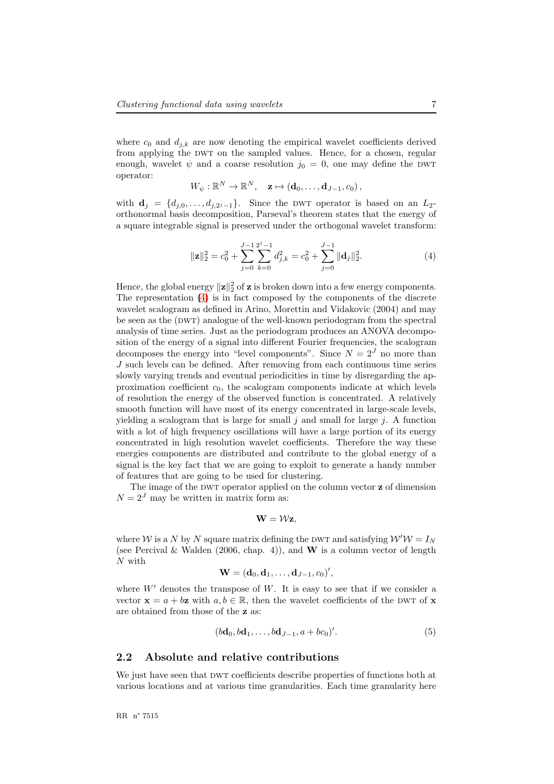where  $c_0$  and  $d_{j,k}$  are now denoting the empirical wavelet coefficients derived from applying the DWT on the sampled values. Hence, for a chosen, regular enough, wavelet  $\psi$  and a coarse resolution  $j_0 = 0$ , one may define the DWT operator:

$$
W_{\psi}: \mathbb{R}^N \to \mathbb{R}^N, \quad \mathbf{z} \mapsto (\mathbf{d}_0, \dots, \mathbf{d}_{J-1}, c_0),
$$

with  $\mathbf{d}_j = \{d_{j,0}, \ldots, d_{j,2^j-1}\}.$  Since the DWT operator is based on an  $L_2$ orthonormal basis decomposition, Parseval's theorem states that the energy of a square integrable signal is preserved under the orthogonal wavelet transform:

<span id="page-9-0"></span>
$$
\|\mathbf{z}\|_2^2 = c_0^2 + \sum_{j=0}^{J-1} \sum_{k=0}^{2^j-1} d_{j,k}^2 = c_0^2 + \sum_{j=0}^{J-1} \|\mathbf{d}_j\|_2^2.
$$
 (4)

Hence, the global energy  $\|\mathbf{z}\|_2^2$  of  $\mathbf{z}$  is broken down into a few energy components. The representation [\(4\)](#page-9-0) is in fact composed by the components of the discrete wavelet scalogram as defined in Arino, Morettin and Vidakovic (2004) and may be seen as the (DWT) analogue of the well-known periodogram from the spectral analysis of time series. Just as the periodogram produces an ANOVA decomposition of the energy of a signal into different Fourier frequencies, the scalogram decomposes the energy into "level components". Since  $N = 2<sup>J</sup>$  no more than J such levels can be defined. After removing from each continuous time series slowly varying trends and eventual periodicities in time by disregarding the approximation coefficient  $c_0$ , the scalogram components indicate at which levels of resolution the energy of the observed function is concentrated. A relatively smooth function will have most of its energy concentrated in large-scale levels, yielding a scalogram that is large for small  $j$  and small for large  $j$ . A function with a lot of high frequency oscillations will have a large portion of its energy concentrated in high resolution wavelet coefficients. Therefore the way these energies components are distributed and contribute to the global energy of a signal is the key fact that we are going to exploit to generate a handy number of features that are going to be used for clustering.

The image of the DWT operator applied on the column vector  $z$  of dimension  $N = 2<sup>J</sup>$  may be written in matrix form as:

$$
\mathbf{W}=\mathcal{W}\mathbf{z},
$$

where W is a N by N square matrix defining the DWT and satisfying  $W'W = I_N$ (see Percival & Walden (2006, chap. 4)), and **W** is a column vector of length N with

$$
\mathbf{W}=(\mathbf{d}_0,\mathbf{d}_1,\ldots,\mathbf{d}_{J-1},c_0)',
$$

where  $W'$  denotes the transpose of  $W$ . It is easy to see that if we consider a vector  $\mathbf{x} = a + b\mathbf{z}$  with  $a, b \in \mathbb{R}$ , then the wavelet coefficients of the DWT of  $\mathbf{x}$ are obtained from those of the z as:

$$
(b\mathbf{d}_0, b\mathbf{d}_1, \dots, b\mathbf{d}_{J-1}, a+bc_0)'.\tag{5}
$$

#### 2.2 Absolute and relative contributions

We just have seen that DWT coefficients describe properties of functions both at various locations and at various time granularities. Each time granularity here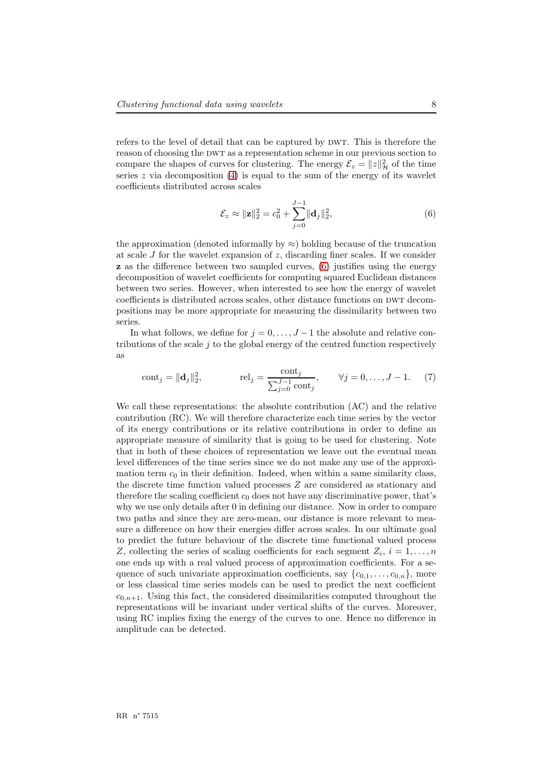refers to the level of detail that can be captured by DWT. This is therefore the reason of choosing the DWT as a representation scheme in our previous section to compare the shapes of curves for clustering. The energy  $\mathcal{E}_z = ||z||^2_{\mathcal{H}}$  of the time series  $z$  via decomposition [\(4\)](#page-9-0) is equal to the sum of the energy of its wavelet coefficients distributed across scales

<span id="page-10-0"></span>
$$
\mathcal{E}_z \approx ||\mathbf{z}||_2^2 = c_0^2 + \sum_{j=0}^{J-1} ||\mathbf{d}_j||_2^2,
$$
\n(6)

the approximation (denoted informally by  $\approx$ ) holding because of the truncation at scale J for the wavelet expansion of  $z$ , discarding finer scales. If we consider z as the difference between two sampled curves, [\(6\)](#page-10-0) justifies using the energy decomposition of wavelet coefficients for computing squared Euclidean distances between two series. However, when interested to see how the energy of wavelet coefficients is distributed across scales, other distance functions on DWT decompositions may be more appropriate for measuring the dissimilarity between two series.

In what follows, we define for  $j = 0, \ldots, J-1$  the absolute and relative contributions of the scale  $j$  to the global energy of the centred function respectively as

cont<sub>j</sub> = 
$$
\|\mathbf{d}_j\|_2^2
$$
, rel<sub>j</sub> =  $\frac{\text{cont}_j}{\sum_{j=0}^{J-1} \text{cont}_j}$ ,  $\forall j = 0, ..., J - 1$ . (7)

We call these representations: the absolute contribution (AC) and the relative contribution (RC). We will therefore characterize each time series by the vector of its energy contributions or its relative contributions in order to define an appropriate measure of similarity that is going to be used for clustering. Note that in both of these choices of representation we leave out the eventual mean level differences of the time series since we do not make any use of the approximation term  $c_0$  in their definition. Indeed, when within a same similarity class, the discrete time function valued processes Z are considered as stationary and therefore the scaling coefficient  $c_0$  does not have any discriminative power, that's why we use only details after 0 in defining our distance. Now in order to compare two paths and since they are zero-mean, our distance is more relevant to measure a difference on how their energies differ across scales. In our ultimate goal to predict the future behaviour of the discrete time functional valued process Z, collecting the series of scaling coefficients for each segment  $Z_i$ ,  $i = 1, \ldots, n$ one ends up with a real valued process of approximation coefficients. For a sequence of such univariate approximation coefficients, say  ${c_{0,1}, \ldots, c_{0,n}}$ , more or less classical time series models can be used to predict the next coefficient  $c_{0,n+1}$ . Using this fact, the considered dissimilarities computed throughout the representations will be invariant under vertical shifts of the curves. Moreover, using RC implies fixing the energy of the curves to one. Hence no difference in amplitude can be detected.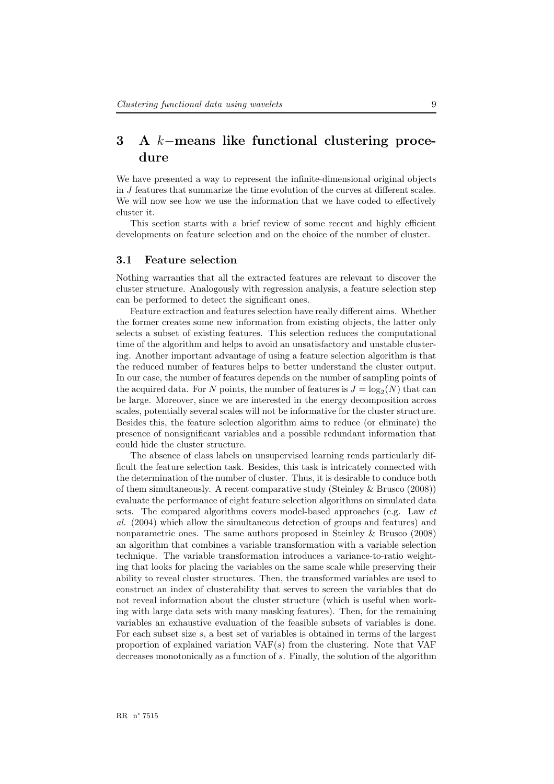## <span id="page-11-0"></span>3 A k−means like functional clustering procedure

We have presented a way to represent the infinite-dimensional original objects in J features that summarize the time evolution of the curves at different scales. We will now see how we use the information that we have coded to effectively cluster it.

This section starts with a brief review of some recent and highly efficient developments on feature selection and on the choice of the number of cluster.

#### 3.1 Feature selection

Nothing warranties that all the extracted features are relevant to discover the cluster structure. Analogously with regression analysis, a feature selection step can be performed to detect the significant ones.

Feature extraction and features selection have really different aims. Whether the former creates some new information from existing objects, the latter only selects a subset of existing features. This selection reduces the computational time of the algorithm and helps to avoid an unsatisfactory and unstable clustering. Another important advantage of using a feature selection algorithm is that the reduced number of features helps to better understand the cluster output. In our case, the number of features depends on the number of sampling points of the acquired data. For N points, the number of features is  $J = \log_2(N)$  that can be large. Moreover, since we are interested in the energy decomposition across scales, potentially several scales will not be informative for the cluster structure. Besides this, the feature selection algorithm aims to reduce (or eliminate) the presence of nonsignificant variables and a possible redundant information that could hide the cluster structure.

The absence of class labels on unsupervised learning rends particularly difficult the feature selection task. Besides, this task is intricately connected with the determination of the number of cluster. Thus, it is desirable to conduce both of them simultaneously. A recent comparative study (Steinley & Brusco (2008)) evaluate the performance of eight feature selection algorithms on simulated data sets. The compared algorithms covers model-based approaches (e.g. Law et al. (2004) which allow the simultaneous detection of groups and features) and nonparametric ones. The same authors proposed in Steinley & Brusco (2008) an algorithm that combines a variable transformation with a variable selection technique. The variable transformation introduces a variance-to-ratio weighting that looks for placing the variables on the same scale while preserving their ability to reveal cluster structures. Then, the transformed variables are used to construct an index of clusterability that serves to screen the variables that do not reveal information about the cluster structure (which is useful when working with large data sets with many masking features). Then, for the remaining variables an exhaustive evaluation of the feasible subsets of variables is done. For each subset size s, a best set of variables is obtained in terms of the largest proportion of explained variation  $VAF(s)$  from the clustering. Note that  $VAF$ decreases monotonically as a function of s. Finally, the solution of the algorithm